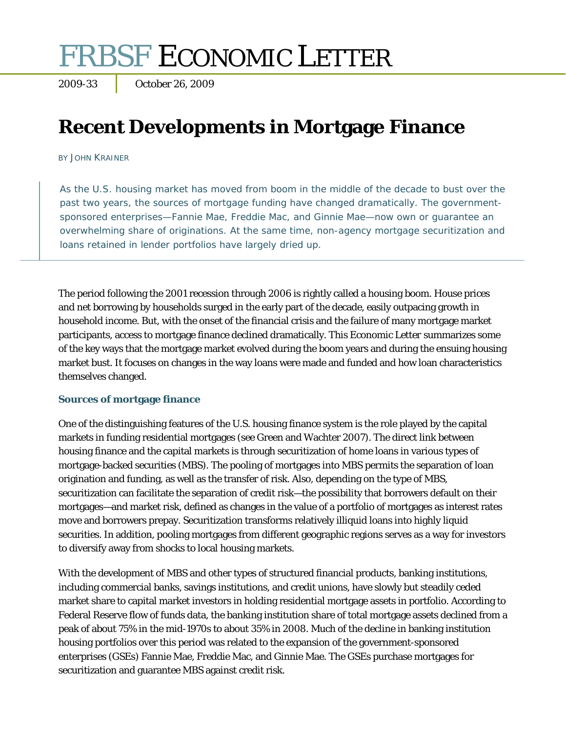# FRBSF ECONOMIC LETTER

2009-33 October 26, 2009

# **Recent Developments in Mortgage Finance**

BY JOHN KRAINER

As the U.S. housing market has moved from boom in the middle of the decade to bust over the past two years, the sources of mortgage funding have changed dramatically. The governmentsponsored enterprises—Fannie Mae, Freddie Mac, and Ginnie Mae—now own or guarantee an overwhelming share of originations. At the same time, non-agency mortgage securitization and loans retained in lender portfolios have largely dried up.

The period following the 2001 recession through 2006 is rightly called a housing boom. House prices and net borrowing by households surged in the early part of the decade, easily outpacing growth in household income. But, with the onset of the financial crisis and the failure of many mortgage market participants, access to mortgage finance declined dramatically. This *Economic Letter* summarizes some of the key ways that the mortgage market evolved during the boom years and during the ensuing housing market bust. It focuses on changes in the way loans were made and funded and how loan characteristics themselves changed.

### **Sources of mortgage finance**

One of the distinguishing features of the U.S. housing finance system is the role played by the capital markets in funding residential mortgages (see Green and Wachter 2007). The direct link between housing finance and the capital markets is through securitization of home loans in various types of mortgage-backed securities (MBS). The pooling of mortgages into MBS permits the separation of loan origination and funding, as well as the transfer of risk. Also, depending on the type of MBS, securitization can facilitate the separation of credit risk—the possibility that borrowers default on their mortgages—and market risk, defined as changes in the value of a portfolio of mortgages as interest rates move and borrowers prepay. Securitization transforms relatively illiquid loans into highly liquid securities. In addition, pooling mortgages from different geographic regions serves as a way for investors to diversify away from shocks to local housing markets.

With the development of MBS and other types of structured financial products, banking institutions, including commercial banks, savings institutions, and credit unions, have slowly but steadily ceded market share to capital market investors in holding residential mortgage assets in portfolio. According to Federal Reserve flow of funds data, the banking institution share of total mortgage assets declined from a peak of about 75% in the mid-1970s to about 35% in 2008. Much of the decline in banking institution housing portfolios over this period was related to the expansion of the government-sponsored enterprises (GSEs) Fannie Mae, Freddie Mac, and Ginnie Mae. The GSEs purchase mortgages for securitization and guarantee MBS against credit risk.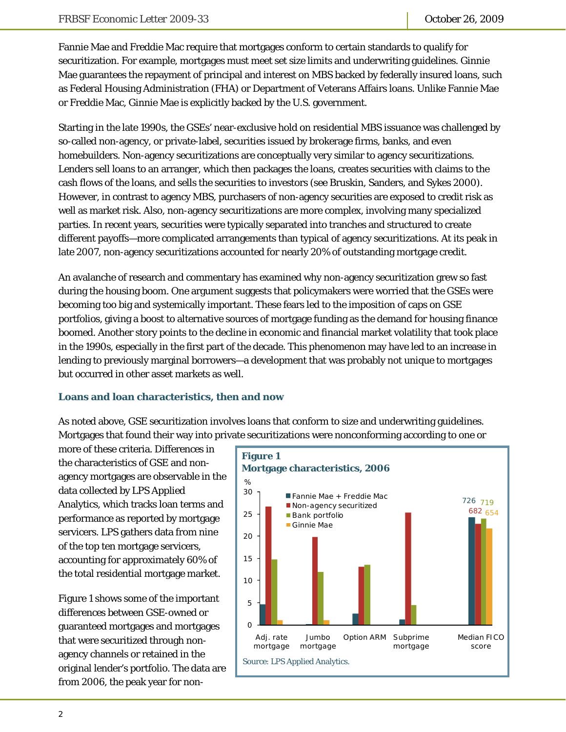Fannie Mae and Freddie Mac require that mortgages conform to certain standards to qualify for securitization. For example, mortgages must meet set size limits and underwriting guidelines. Ginnie Mae guarantees the repayment of principal and interest on MBS backed by federally insured loans, such as Federal Housing Administration (FHA) or Department of Veterans Affairs loans. Unlike Fannie Mae or Freddie Mac, Ginnie Mae is explicitly backed by the U.S. government.

Starting in the late 1990s, the GSEs' near-exclusive hold on residential MBS issuance was challenged by so-called non-agency, or private-label, securities issued by brokerage firms, banks, and even homebuilders. Non-agency securitizations are conceptually very similar to agency securitizations. Lenders sell loans to an arranger, which then packages the loans, creates securities with claims to the cash flows of the loans, and sells the securities to investors (see Bruskin, Sanders, and Sykes 2000). However, in contrast to agency MBS, purchasers of non-agency securities are exposed to credit risk as well as market risk. Also, non-agency securitizations are more complex, involving many specialized parties. In recent years, securities were typically separated into tranches and structured to create different payoffs—more complicated arrangements than typical of agency securitizations. At its peak in late 2007, non-agency securitizations accounted for nearly 20% of outstanding mortgage credit.

An avalanche of research and commentary has examined why non-agency securitization grew so fast during the housing boom. One argument suggests that policymakers were worried that the GSEs were becoming too big and systemically important. These fears led to the imposition of caps on GSE portfolios, giving a boost to alternative sources of mortgage funding as the demand for housing finance boomed. Another story points to the decline in economic and financial market volatility that took place in the 1990s, especially in the first part of the decade. This phenomenon may have led to an increase in lending to previously marginal borrowers—a development that was probably not unique to mortgages but occurred in other asset markets as well.

### **Loans and loan characteristics, then and now**

As noted above, GSE securitization involves loans that conform to size and underwriting guidelines. Mortgages that found their way into private securitizations were nonconforming according to one or

more of these criteria. Differences in the characteristics of GSE and nonagency mortgages are observable in the data collected by LPS Applied Analytics, which tracks loan terms and performance as reported by mortgage servicers. LPS gathers data from nine of the top ten mortgage servicers, accounting for approximately 60% of the total residential mortgage market.

Figure 1 shows some of the important differences between GSE-owned or guaranteed mortgages and mortgages that were securitized through nonagency channels or retained in the original lender's portfolio. The data are from 2006, the peak year for non-

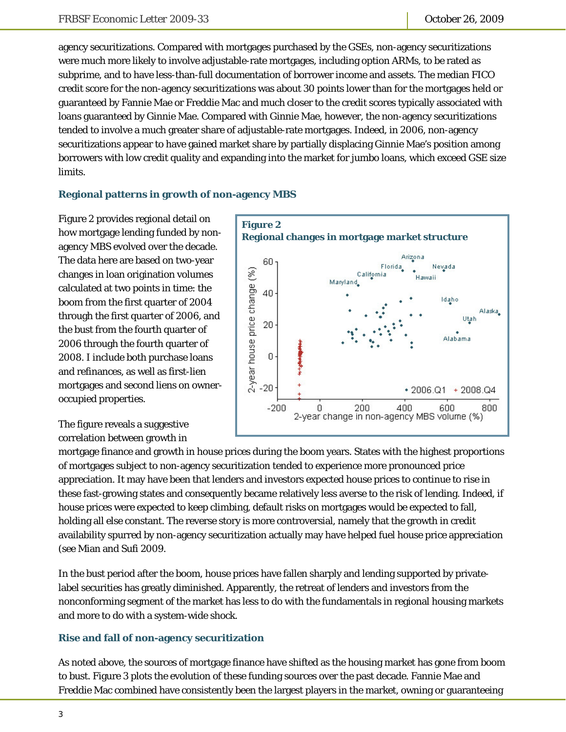agency securitizations. Compared with mortgages purchased by the GSEs, non-agency securitizations were much more likely to involve adjustable-rate mortgages, including option ARMs, to be rated as subprime, and to have less-than-full documentation of borrower income and assets. The median FICO credit score for the non-agency securitizations was about 30 points lower than for the mortgages held or guaranteed by Fannie Mae or Freddie Mac and much closer to the credit scores typically associated with loans guaranteed by Ginnie Mae. Compared with Ginnie Mae, however, the non-agency securitizations tended to involve a much greater share of adjustable-rate mortgages. Indeed, in 2006, non-agency securitizations appear to have gained market share by partially displacing Ginnie Mae's position among borrowers with low credit quality and expanding into the market for jumbo loans, which exceed GSE size limits.

### **Regional patterns in growth of non-agency MBS**

Figure 2 provides regional detail on how mortgage lending funded by nonagency MBS evolved over the decade. The data here are based on two-year changes in loan origination volumes calculated at two points in time: the boom from the first quarter of 2004 through the first quarter of 2006, and the bust from the fourth quarter of 2006 through the fourth quarter of 2008. I include both purchase loans and refinances, as well as first-lien mortgages and second liens on owneroccupied properties.

The figure reveals a suggestive correlation between growth in



mortgage finance and growth in house prices during the boom years. States with the highest proportions of mortgages subject to non-agency securitization tended to experience more pronounced price appreciation. It may have been that lenders and investors expected house prices to continue to rise in these fast-growing states and consequently became relatively less averse to the risk of lending. Indeed, if house prices were expected to keep climbing, default risks on mortgages would be expected to fall, holding all else constant. The reverse story is more controversial, namely that the growth in credit availability spurred by non-agency securitization actually may have helped fuel house price appreciation (see Mian and Sufi 2009.

In the bust period after the boom, house prices have fallen sharply and lending supported by privatelabel securities has greatly diminished. Apparently, the retreat of lenders and investors from the nonconforming segment of the market has less to do with the fundamentals in regional housing markets and more to do with a system-wide shock.

### **Rise and fall of non-agency securitization**

As noted above, the sources of mortgage finance have shifted as the housing market has gone from boom to bust. Figure 3 plots the evolution of these funding sources over the past decade. Fannie Mae and Freddie Mac combined have consistently been the largest players in the market, owning or guaranteeing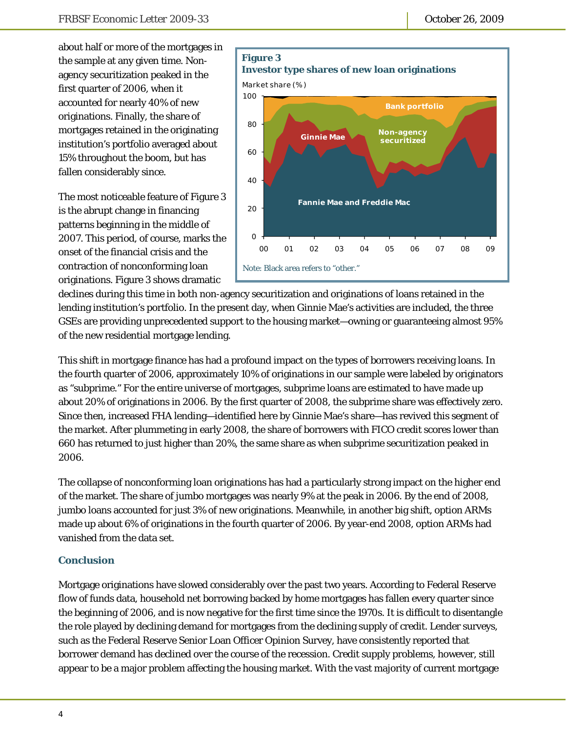about half or more of the mortgages in the sample at any given time. Nonagency securitization peaked in the first quarter of 2006, when it accounted for nearly 40% of new originations. Finally, the share of mortgages retained in the originating institution's portfolio averaged about 15% throughout the boom, but has fallen considerably since.

The most noticeable feature of Figure 3 is the abrupt change in financing patterns beginning in the middle of 2007. This period, of course, marks the onset of the financial crisis and the contraction of nonconforming loan originations. Figure 3 shows dramatic



declines during this time in both non-agency securitization and originations of loans retained in the lending institution's portfolio. In the present day, when Ginnie Mae's activities are included, the three GSEs are providing unprecedented support to the housing market—owning or guaranteeing almost 95% of the new residential mortgage lending.

This shift in mortgage finance has had a profound impact on the types of borrowers receiving loans. In the fourth quarter of 2006, approximately 10% of originations in our sample were labeled by originators as "subprime." For the entire universe of mortgages, subprime loans are estimated to have made up about 20% of originations in 2006. By the first quarter of 2008, the subprime share was effectively zero. Since then, increased FHA lending—identified here by Ginnie Mae's share—has revived this segment of the market. After plummeting in early 2008, the share of borrowers with FICO credit scores lower than 660 has returned to just higher than 20%, the same share as when subprime securitization peaked in 2006.

The collapse of nonconforming loan originations has had a particularly strong impact on the higher end of the market. The share of jumbo mortgages was nearly 9% at the peak in 2006. By the end of 2008, jumbo loans accounted for just 3% of new originations. Meanwhile, in another big shift, option ARMs made up about 6% of originations in the fourth quarter of 2006. By year-end 2008, option ARMs had vanished from the data set.

### **Conclusion**

Mortgage originations have slowed considerably over the past two years. According to Federal Reserve flow of funds data, household net borrowing backed by home mortgages has fallen every quarter since the beginning of 2006, and is now negative for the first time since the 1970s. It is difficult to disentangle the role played by declining demand for mortgages from the declining supply of credit. Lender surveys, such as the Federal Reserve Senior Loan Officer Opinion Survey, have consistently reported that borrower demand has declined over the course of the recession. Credit supply problems, however, still appear to be a major problem affecting the housing market. With the vast majority of current mortgage